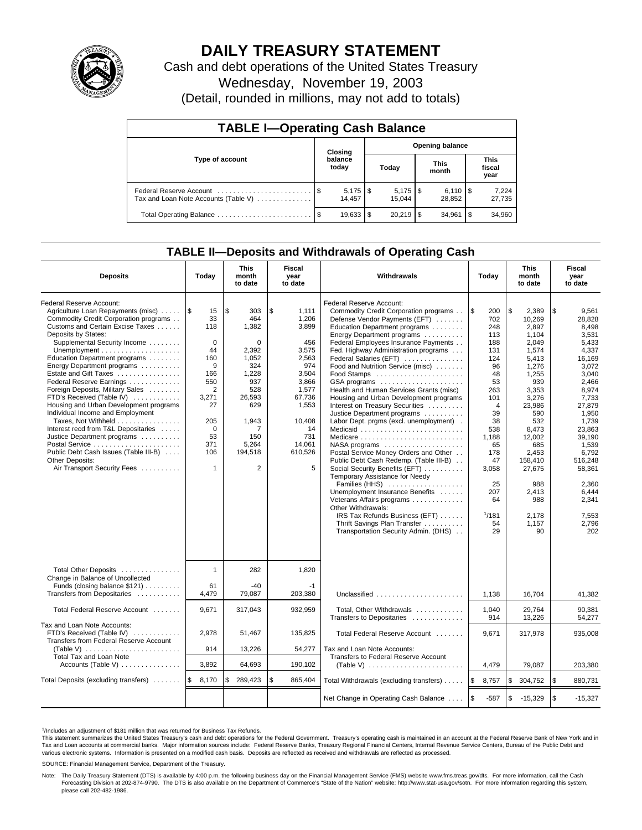

# **DAILY TREASURY STATEMENT**

Cash and debt operations of the United States Treasury Wednesday, November 19, 2003 (Detail, rounded in millions, may not add to totals)

| <b>TABLE I-Operating Cash Balance</b>                           |         |                       |       |                      |                        |                              |      |                               |  |
|-----------------------------------------------------------------|---------|-----------------------|-------|----------------------|------------------------|------------------------------|------|-------------------------------|--|
|                                                                 | Closing |                       |       |                      | <b>Opening balance</b> |                              |      |                               |  |
| Type of account                                                 |         | balance<br>today      | Today |                      | <b>This</b><br>month   |                              |      | <b>This</b><br>fiscal<br>year |  |
| Federal Reserve Account<br>Tax and Loan Note Accounts (Table V) |         | $5,175$ \\$<br>14.457 |       | $5,175$ \$<br>15.044 |                        | $6,110$ $\sqrt{5}$<br>28.852 |      | 7,224<br>27,735               |  |
|                                                                 |         | 19,633                | l \$  | $20.219$ S           |                        | 34.961                       | l \$ | 34,960                        |  |

# **TABLE II—Deposits and Withdrawals of Operating Cash**

| <b>Deposits</b>                                                                                                                                                                                                                                                                                                                                                                                                                                                                                                                                                                                                                                               | Today                                                                                                                                               | <b>This</b><br>month<br>to date                                                                                                                              | Fiscal<br>year<br>to date                                                                                                                                    | Withdrawals                                                                                                                                                                                                                                                                                                                                                                                                                                                                                                                                                                                                                                                                                                                                                                                                                                                                                                        | Today                                                                                                                                                                                                   | <b>This</b><br>month<br>to date                                                                                                                                                                                                              | Fiscal<br>year<br>to date                                                                                                                                                                                                                                   |
|---------------------------------------------------------------------------------------------------------------------------------------------------------------------------------------------------------------------------------------------------------------------------------------------------------------------------------------------------------------------------------------------------------------------------------------------------------------------------------------------------------------------------------------------------------------------------------------------------------------------------------------------------------------|-----------------------------------------------------------------------------------------------------------------------------------------------------|--------------------------------------------------------------------------------------------------------------------------------------------------------------|--------------------------------------------------------------------------------------------------------------------------------------------------------------|--------------------------------------------------------------------------------------------------------------------------------------------------------------------------------------------------------------------------------------------------------------------------------------------------------------------------------------------------------------------------------------------------------------------------------------------------------------------------------------------------------------------------------------------------------------------------------------------------------------------------------------------------------------------------------------------------------------------------------------------------------------------------------------------------------------------------------------------------------------------------------------------------------------------|---------------------------------------------------------------------------------------------------------------------------------------------------------------------------------------------------------|----------------------------------------------------------------------------------------------------------------------------------------------------------------------------------------------------------------------------------------------|-------------------------------------------------------------------------------------------------------------------------------------------------------------------------------------------------------------------------------------------------------------|
| Federal Reserve Account:<br>Agriculture Loan Repayments (misc)<br>Commodity Credit Corporation programs<br>Customs and Certain Excise Taxes<br>Deposits by States:<br>Supplemental Security Income<br>Education Department programs<br>Energy Department programs<br>Estate and Gift Taxes<br>Federal Reserve Earnings<br>Foreign Deposits, Military Sales<br>FTD's Received (Table IV)<br>Housing and Urban Development programs<br>Individual Income and Employment<br>Taxes, Not Withheld<br>Interest recd from T&L Depositaries<br>Justice Department programs<br>Public Debt Cash Issues (Table III-B)<br>Other Deposits:<br>Air Transport Security Fees | I\$<br>15<br>33<br>118<br>$\mathbf 0$<br>44<br>160<br>9<br>166<br>550<br>2<br>3,271<br>27<br>205<br>$\mathbf 0$<br>53<br>371<br>106<br>$\mathbf{1}$ | l \$<br>303<br>464<br>1,382<br>0<br>2.392<br>1,052<br>324<br>1,228<br>937<br>528<br>26,593<br>629<br>1,943<br>7<br>150<br>5,264<br>194,518<br>$\overline{2}$ | \$<br>1,111<br>1,206<br>3,899<br>456<br>3.575<br>2,563<br>974<br>3,504<br>3,866<br>1,577<br>67,736<br>1,553<br>10,408<br>14<br>731<br>14,061<br>610,526<br>5 | <b>Federal Reserve Account:</b><br>Commodity Credit Corporation programs<br>Defense Vendor Payments (EFT)<br>Education Department programs<br>Energy Department programs<br>Federal Employees Insurance Payments<br>Fed. Highway Administration programs<br>Federal Salaries (EFT)<br>Food and Nutrition Service (misc)<br>GSA programs<br>Health and Human Services Grants (misc)<br>Housing and Urban Development programs<br>Interest on Treasury Securities<br>Justice Department programs<br>Labor Dept. prgms (excl. unemployment).<br>Postal Service Money Orders and Other<br>Public Debt Cash Redemp. (Table III-B)<br>Social Security Benefits (EFT)<br>Temporary Assistance for Needy<br>Families (HHS)<br>Unemployment Insurance Benefits<br>Veterans Affairs programs<br>Other Withdrawals:<br>IRS Tax Refunds Business (EFT)<br>Thrift Savings Plan Transfer<br>Transportation Security Admin. (DHS) | l \$<br>200<br>702<br>248<br>113<br>188<br>131<br>124<br>96<br>48<br>53<br>263<br>101<br>$\overline{4}$<br>39<br>38<br>538<br>1,188<br>65<br>178<br>47<br>3,058<br>25<br>207<br>64<br>1/181<br>54<br>29 | \$<br>2,389<br>10,269<br>2.897<br>1,104<br>2.049<br>1.574<br>5,413<br>1,276<br>1,255<br>939<br>3,353<br>3,276<br>23,986<br>590<br>532<br>8,473<br>12,002<br>685<br>2,453<br>158.410<br>27,675<br>988<br>2,413<br>988<br>2,178<br>1,157<br>90 | \$<br>9,561<br>28.828<br>8,498<br>3,531<br>5.433<br>4.337<br>16,169<br>3,072<br>3,040<br>2.466<br>8,974<br>7.733<br>27,879<br>1,950<br>1.739<br>23.863<br>39,190<br>1,539<br>6.792<br>516.248<br>58,361<br>2,360<br>6,444<br>2.341<br>7,553<br>2,796<br>202 |
| Total Other Deposits<br>Change in Balance of Uncollected<br>Funds (closing balance \$121)<br>Transfers from Depositaries                                                                                                                                                                                                                                                                                                                                                                                                                                                                                                                                      | $\mathbf{1}$<br>61<br>4,479                                                                                                                         | 282<br>$-40$<br>79,087                                                                                                                                       | 1,820<br>$-1$<br>203.380                                                                                                                                     | Unclassified                                                                                                                                                                                                                                                                                                                                                                                                                                                                                                                                                                                                                                                                                                                                                                                                                                                                                                       | 1,138                                                                                                                                                                                                   | 16,704                                                                                                                                                                                                                                       | 41,382                                                                                                                                                                                                                                                      |
| Total Federal Reserve Account                                                                                                                                                                                                                                                                                                                                                                                                                                                                                                                                                                                                                                 | 9,671                                                                                                                                               | 317,043                                                                                                                                                      | 932,959                                                                                                                                                      | Total, Other Withdrawals<br>Transfers to Depositaries                                                                                                                                                                                                                                                                                                                                                                                                                                                                                                                                                                                                                                                                                                                                                                                                                                                              | 1,040<br>914                                                                                                                                                                                            | 29,764<br>13,226                                                                                                                                                                                                                             | 90,381<br>54,277                                                                                                                                                                                                                                            |
| Tax and Loan Note Accounts:<br>FTD's Received (Table IV)<br>Transfers from Federal Reserve Account<br><b>Total Tax and Loan Note</b>                                                                                                                                                                                                                                                                                                                                                                                                                                                                                                                          | 2,978<br>914                                                                                                                                        | 51,467<br>13,226                                                                                                                                             | 135,825<br>54,277                                                                                                                                            | Total Federal Reserve Account<br>Tax and Loan Note Accounts:<br>Transfers to Federal Reserve Account                                                                                                                                                                                                                                                                                                                                                                                                                                                                                                                                                                                                                                                                                                                                                                                                               | 9,671                                                                                                                                                                                                   | 317,978                                                                                                                                                                                                                                      | 935,008                                                                                                                                                                                                                                                     |
| Accounts (Table V) $\dots \dots \dots \dots$                                                                                                                                                                                                                                                                                                                                                                                                                                                                                                                                                                                                                  | 3.892                                                                                                                                               | 64,693                                                                                                                                                       | 190.102                                                                                                                                                      |                                                                                                                                                                                                                                                                                                                                                                                                                                                                                                                                                                                                                                                                                                                                                                                                                                                                                                                    | 4,479                                                                                                                                                                                                   | 79.087                                                                                                                                                                                                                                       | 203,380                                                                                                                                                                                                                                                     |
| Total Deposits (excluding transfers)                                                                                                                                                                                                                                                                                                                                                                                                                                                                                                                                                                                                                          | l \$<br>8,170                                                                                                                                       | \$<br>289,423                                                                                                                                                | \$<br>865,404                                                                                                                                                | Total Withdrawals (excluding transfers)                                                                                                                                                                                                                                                                                                                                                                                                                                                                                                                                                                                                                                                                                                                                                                                                                                                                            | ۱\$<br>8,757                                                                                                                                                                                            | \$<br>304,752                                                                                                                                                                                                                                | \$<br>880,731                                                                                                                                                                                                                                               |
|                                                                                                                                                                                                                                                                                                                                                                                                                                                                                                                                                                                                                                                               |                                                                                                                                                     |                                                                                                                                                              |                                                                                                                                                              | Net Change in Operating Cash Balance                                                                                                                                                                                                                                                                                                                                                                                                                                                                                                                                                                                                                                                                                                                                                                                                                                                                               | ا \$<br>$-587$                                                                                                                                                                                          | \$<br>$-15,329$                                                                                                                                                                                                                              | \$<br>$-15,327$                                                                                                                                                                                                                                             |

<sup>1</sup>/Includes an adjustment of \$181 million that was returned for Business Tax Refunds.

This statement summarizes the United States Treasury's cash and debt operations for the Federal Government. Treasury's operating cash is maintained in an account at the Federal Reserve Bank of New York and in Tax and Loan accounts at commercial banks. Major information sources include: Federal Reserve Banks, Treasury Regional Financial Centers, Internal Revenue Service Centers, Bureau of the Public Debt and<br>various electronic s

SOURCE: Financial Management Service, Department of the Treasury.

Note: The Daily Treasury Statement (DTS) is available by 4:00 p.m. the following business day on the Financial Management Service (FMS) website www.fms.treas.gov/dts. For more information, call the Cash<br>Forecasting Divisio please call 202-482-1986.